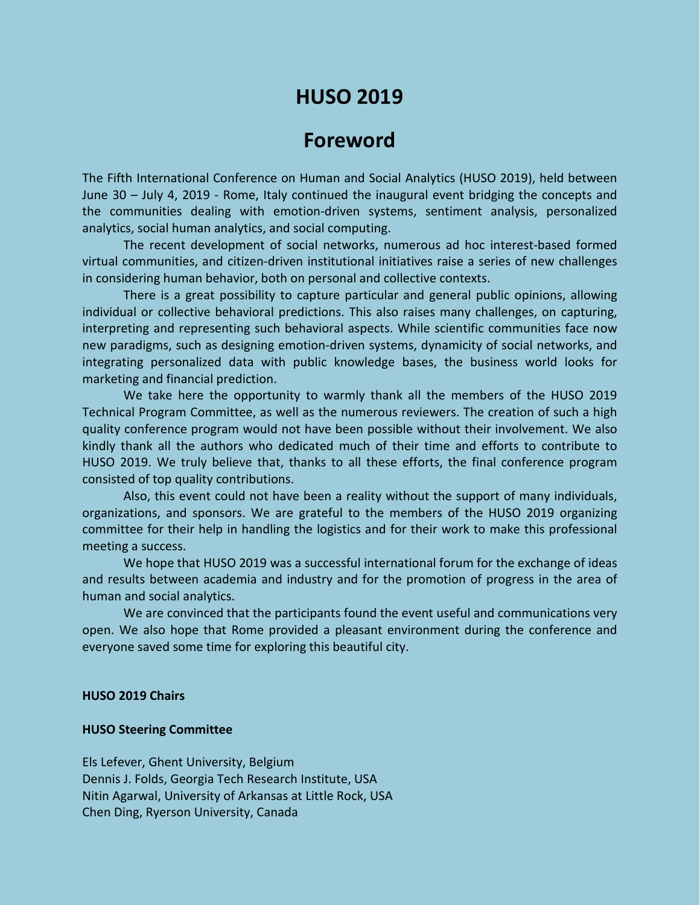# **HUSO 2019**

## **Foreword**

The Fifth International Conference on Human and Social Analytics (HUSO 2019), held between June 30 – July 4, 2019 - Rome, Italy continued the inaugural event bridging the concepts and the communities dealing with emotion-driven systems, sentiment analysis, personalized analytics, social human analytics, and social computing.

The recent development of social networks, numerous ad hoc interest-based formed virtual communities, and citizen-driven institutional initiatives raise a series of new challenges in considering human behavior, both on personal and collective contexts.

There is a great possibility to capture particular and general public opinions, allowing individual or collective behavioral predictions. This also raises many challenges, on capturing, interpreting and representing such behavioral aspects. While scientific communities face now new paradigms, such as designing emotion-driven systems, dynamicity of social networks, and integrating personalized data with public knowledge bases, the business world looks for marketing and financial prediction.

We take here the opportunity to warmly thank all the members of the HUSO 2019 Technical Program Committee, as well as the numerous reviewers. The creation of such a high quality conference program would not have been possible without their involvement. We also kindly thank all the authors who dedicated much of their time and efforts to contribute to HUSO 2019. We truly believe that, thanks to all these efforts, the final conference program consisted of top quality contributions.

Also, this event could not have been a reality without the support of many individuals, organizations, and sponsors. We are grateful to the members of the HUSO 2019 organizing committee for their help in handling the logistics and for their work to make this professional meeting a success.

We hope that HUSO 2019 was a successful international forum for the exchange of ideas and results between academia and industry and for the promotion of progress in the area of human and social analytics.

We are convinced that the participants found the event useful and communications very open. We also hope that Rome provided a pleasant environment during the conference and everyone saved some time for exploring this beautiful city.

#### **HUSO 2019 Chairs**

#### **HUSO Steering Committee**

Els Lefever, Ghent University, Belgium Dennis J. Folds, Georgia Tech Research Institute, USA Nitin Agarwal, University of Arkansas at Little Rock, USA Chen Ding, Ryerson University, Canada